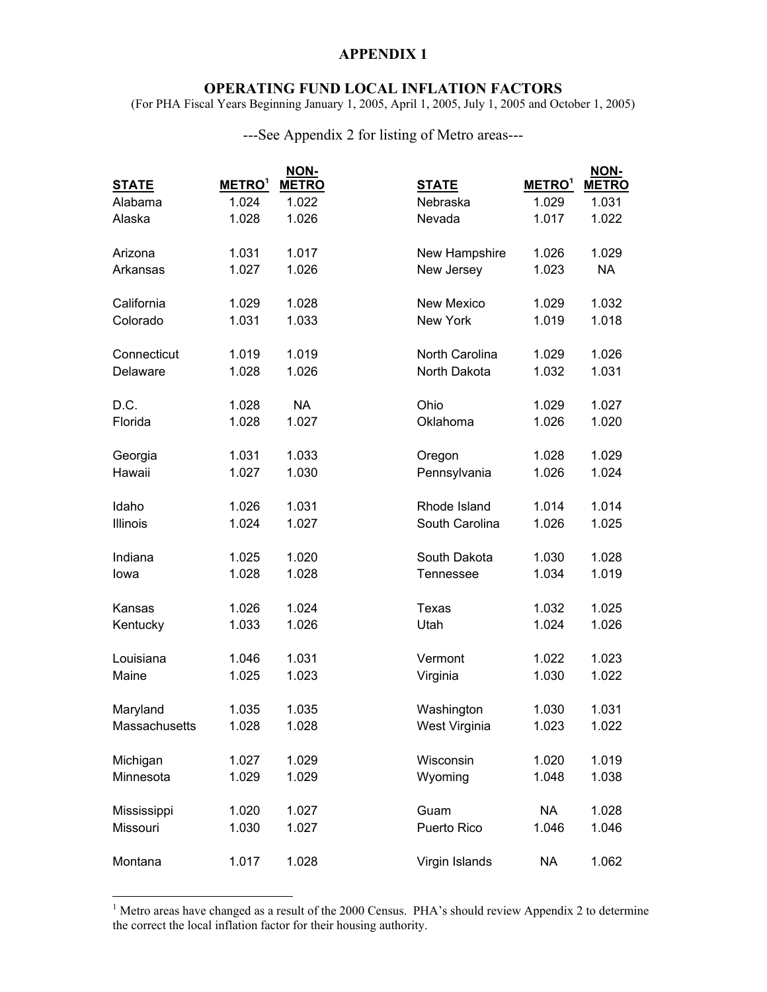## **APPENDIX 1**

## **OPERATING FUND LOCAL INFLATION FACTORS**

(For PHA Fiscal Years Beginning January 1, 2005, April 1, 2005, July 1, 2005 and October 1, 2005)

| ---See Appendix 2 for listing of Metro areas--- |  |
|-------------------------------------------------|--|
|-------------------------------------------------|--|

|               |                    | NON-         |                |                    | NON-         |
|---------------|--------------------|--------------|----------------|--------------------|--------------|
| <b>STATE</b>  | METRO <sup>1</sup> | <b>METRO</b> | <b>STATE</b>   | METRO <sup>1</sup> | <b>METRO</b> |
| Alabama       | 1.024              | 1.022        | Nebraska       | 1.029              | 1.031        |
| Alaska        | 1.028              | 1.026        | Nevada         | 1.017              | 1.022        |
| Arizona       | 1.031              | 1.017        | New Hampshire  | 1.026              | 1.029        |
| Arkansas      | 1.027              | 1.026        | New Jersey     | 1.023              | <b>NA</b>    |
| California    | 1.029              | 1.028        | New Mexico     | 1.029              | 1.032        |
| Colorado      | 1.031              | 1.033        | New York       | 1.019              | 1.018        |
| Connecticut   | 1.019              | 1.019        | North Carolina | 1.029              | 1.026        |
| Delaware      | 1.028              | 1.026        | North Dakota   | 1.032              | 1.031        |
| D.C.          | 1.028              | <b>NA</b>    | Ohio           | 1.029              | 1.027        |
| Florida       | 1.028              | 1.027        | Oklahoma       | 1.026              | 1.020        |
| Georgia       | 1.031              | 1.033        | Oregon         | 1.028              | 1.029        |
| Hawaii        | 1.027              | 1.030        | Pennsylvania   | 1.026              | 1.024        |
| Idaho         | 1.026              | 1.031        | Rhode Island   | 1.014              | 1.014        |
| Illinois      | 1.024              | 1.027        | South Carolina | 1.026              | 1.025        |
| Indiana       | 1.025              | 1.020        | South Dakota   | 1.030              | 1.028        |
| lowa          | 1.028              | 1.028        | Tennessee      | 1.034              | 1.019        |
| Kansas        | 1.026              | 1.024        | <b>Texas</b>   | 1.032              | 1.025        |
| Kentucky      | 1.033              | 1.026        | Utah           | 1.024              | 1.026        |
| Louisiana     | 1.046              | 1.031        | Vermont        | 1.022              | 1.023        |
| Maine         | 1.025              | 1.023        | Virginia       | 1.030              | 1.022        |
| Maryland      | 1.035              | 1.035        | Washington     | 1.030              | 1.031        |
| Massachusetts | 1.028              | 1.028        | West Virginia  | 1.023              | 1.022        |
| Michigan      | 1.027              | 1.029        | Wisconsin      | 1.020              | 1.019        |
| Minnesota     | 1.029              | 1.029        | Wyoming        | 1.048              | 1.038        |
| Mississippi   | 1.020              | 1.027        | Guam           | <b>NA</b>          | 1.028        |
| Missouri      | 1.030              | 1.027        | Puerto Rico    | 1.046              | 1.046        |
| Montana       | 1.017              | 1.028        | Virgin Islands | <b>NA</b>          | 1.062        |

<sup>&</sup>lt;sup>1</sup> Metro areas have changed as a result of the 2000 Census. PHA's should review Appendix 2 to determine the correct the local inflation factor for their housing authority.